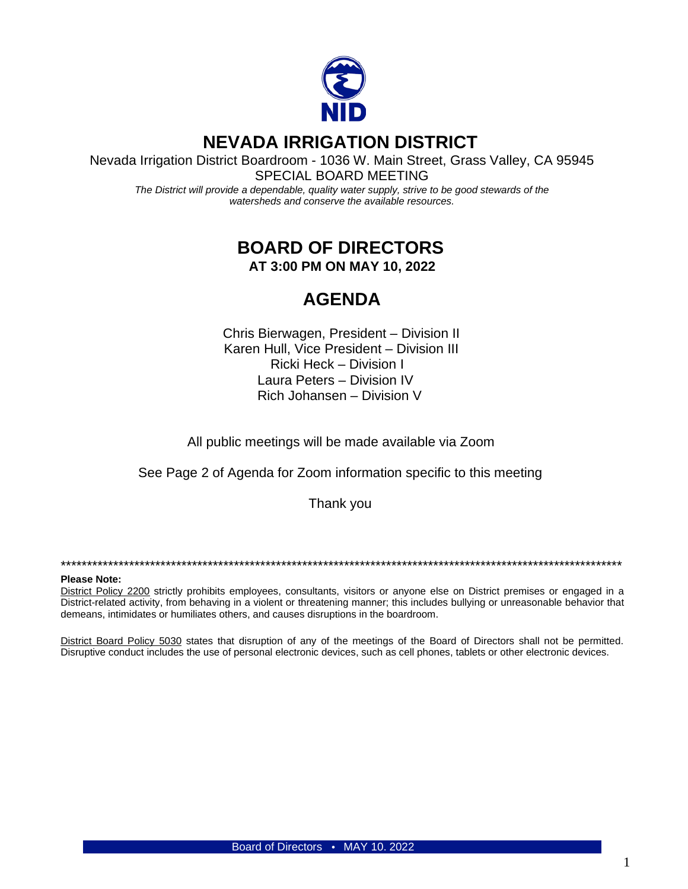

# **NEVADA IRRIGATION DISTRICT**

Nevada Irrigation District Boardroom - 1036 W. Main Street, Grass Valley, CA 95945 SPECIAL BOARD MEETING

*The District will provide a dependable, quality water supply, strive to be good stewards of the watersheds and conserve the available resources.*

### **BOARD OF DIRECTORS AT 3:00 PM ON MAY 10, 2022**

## **AGENDA**

Chris Bierwagen, President – Division II Karen Hull, Vice President – Division III Ricki Heck – Division I Laura Peters – Division IV Rich Johansen – Division V

All public meetings will be made available via Zoom

See Page 2 of Agenda for Zoom information specific to this meeting

Thank you

\*\*\*\*\*\*\*\*\*\*\*\*\*\*\*\*\*\*\*\*\*\*\*\*\*\*\*\*\*\*\*\*\*\*\*\*\*\*\*\*\*\*\*\*\*\*\*\*\*\*\*\*\*\*\*\*\*\*\*\*\*\*\*\*\*\*\*\*\*\*\*\*\*\*\*\*\*\*\*\*\*\*\*\*\*\*\*\*\*\*\*\*\*\*\*\*\*\*\*\*\*\*\*\*\*\*\*

#### **Please Note:**

District Policy 2200 strictly prohibits employees, consultants, visitors or anyone else on District premises or engaged in a District-related activity, from behaving in a violent or threatening manner; this includes bullying or unreasonable behavior that demeans, intimidates or humiliates others, and causes disruptions in the boardroom.

District Board Policy 5030 states that disruption of any of the meetings of the Board of Directors shall not be permitted. Disruptive conduct includes the use of personal electronic devices, such as cell phones, tablets or other electronic devices.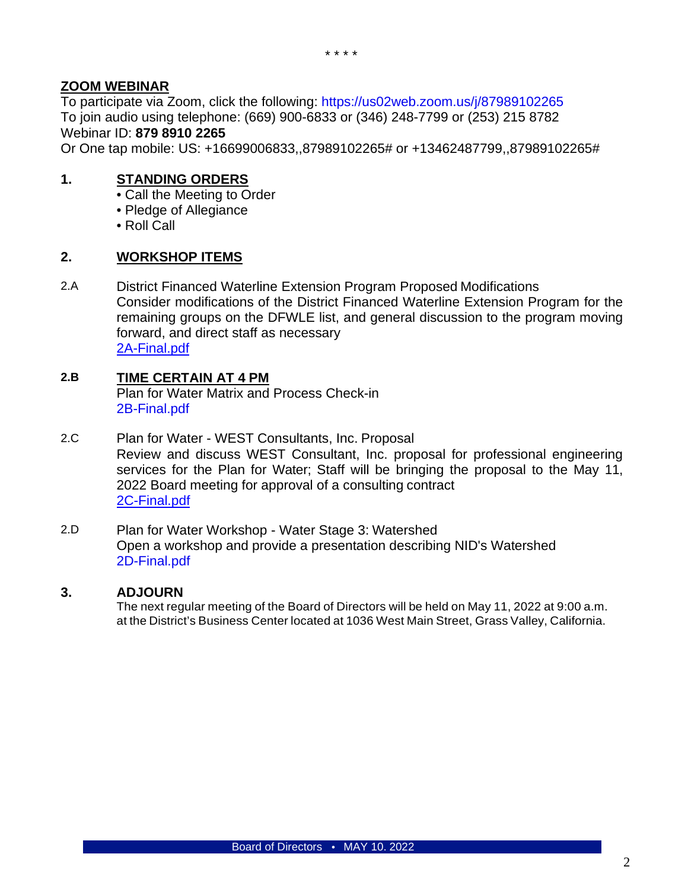### **ZOOM WEBINAR**

To participate via Zoom, click the following:<https://us02web.zoom.us/j/87989102265> To join audio using telephone: (669) 900-6833 or (346) 248-7799 or (253) 215 8782 Webinar ID: **879 8910 2265**

Or One tap mobile: US: +16699006833,,87989102265# or +13462487799,,87989102265#

### **1. STANDING ORDERS**

- Call the Meeting to Order
- Pledge of Allegiance
- Roll Call

#### **2. WORKSHOP ITEMS**

2.A District Financed Waterline Extension Program Proposed Modifications Consider modifications of the District Financed Waterline Extension Program for the remaining groups on the DFWLE list, and general discussion to the program moving forward, and direct staff as necessary [2A-Final.pdf](https://www.nidwater.com/files/e2f00811a/2A-Final.pdf)

### **2.B TIME CERTAIN AT 4 PM**

Plan for Water Matrix and Process Check-in [2B-Final.pdf](https://www.nidwater.com/files/282d60fb1/2B-Final.pdf)

- 2.C Plan for Water WEST Consultants, Inc. Proposal Review and discuss WEST Consultant, Inc. proposal for professional engineering services for the Plan for Water; Staff will be bringing the proposal to the May 11, 2022 Board meeting for approval of a consulting contract [2C-Final.pdf](https://www.nidwater.com/files/d1e325e52/2C-Final.pdf)
- 2.D Plan for Water Workshop Water Stage 3: Watershed Open a workshop and provide a presentation describing NID's Watershed [2D-Final.pdf](https://www.nidwater.com/files/2d97915ef/2D-Final.pdf)

#### **3. ADJOURN**

The next regular meeting of the Board of Directors will be held on May 11, 2022 at 9:00 a.m. at the District's Business Center located at 1036 West Main Street, Grass Valley, California.